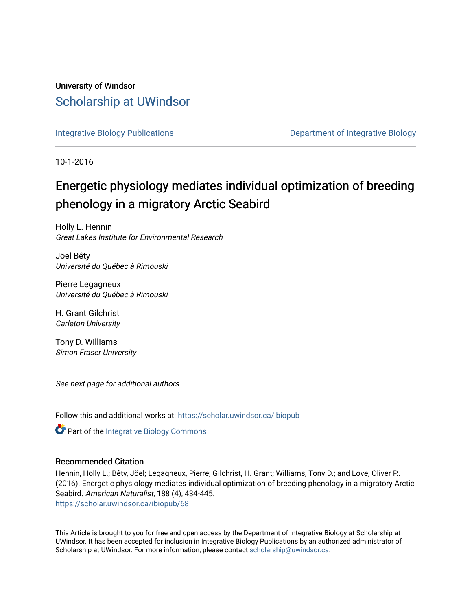# University of Windsor [Scholarship at UWindsor](https://scholar.uwindsor.ca/)

[Integrative Biology Publications](https://scholar.uwindsor.ca/ibiopub) **Department of Integrative Biology Department of Integrative Biology** 

10-1-2016

# Energetic physiology mediates individual optimization of breeding phenology in a migratory Arctic Seabird

Holly L. Hennin Great Lakes Institute for Environmental Research

Jöel Bêty Université du Québec à Rimouski

Pierre Legagneux Université du Québec à Rimouski

H. Grant Gilchrist Carleton University

Tony D. Williams Simon Fraser University

See next page for additional authors

Follow this and additional works at: [https://scholar.uwindsor.ca/ibiopub](https://scholar.uwindsor.ca/ibiopub?utm_source=scholar.uwindsor.ca%2Fibiopub%2F68&utm_medium=PDF&utm_campaign=PDFCoverPages) 

**Part of the Integrative Biology Commons** 

### Recommended Citation

Hennin, Holly L.; Bêty, Jöel; Legagneux, Pierre; Gilchrist, H. Grant; Williams, Tony D.; and Love, Oliver P.. (2016). Energetic physiology mediates individual optimization of breeding phenology in a migratory Arctic Seabird. American Naturalist, 188 (4), 434-445. [https://scholar.uwindsor.ca/ibiopub/68](https://scholar.uwindsor.ca/ibiopub/68?utm_source=scholar.uwindsor.ca%2Fibiopub%2F68&utm_medium=PDF&utm_campaign=PDFCoverPages)

This Article is brought to you for free and open access by the Department of Integrative Biology at Scholarship at UWindsor. It has been accepted for inclusion in Integrative Biology Publications by an authorized administrator of Scholarship at UWindsor. For more information, please contact [scholarship@uwindsor.ca.](mailto:scholarship@uwindsor.ca)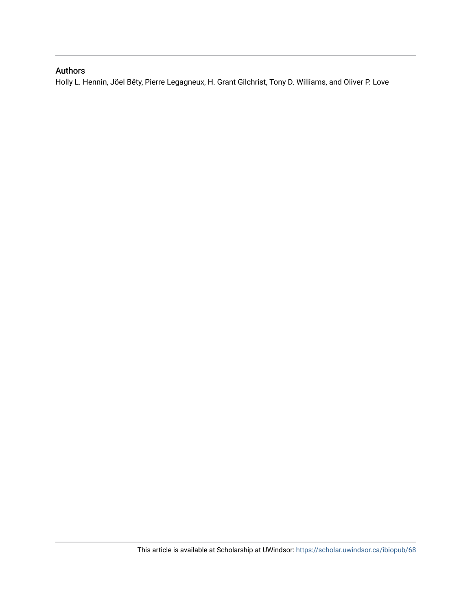## Authors

Holly L. Hennin, Jöel Bêty, Pierre Legagneux, H. Grant Gilchrist, Tony D. Williams, and Oliver P. Love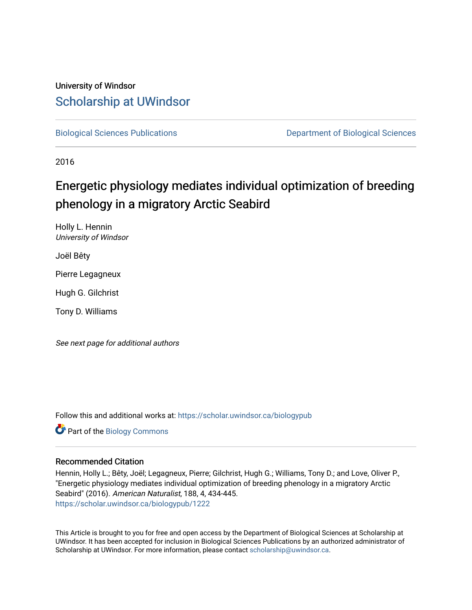# University of Windsor [Scholarship at UWindsor](https://scholar.uwindsor.ca/)

[Biological Sciences Publications](https://scholar.uwindsor.ca/biologypub) **Department of Biological Sciences** 

2016

# Energetic physiology mediates individual optimization of breeding phenology in a migratory Arctic Seabird

Holly L. Hennin University of Windsor

Joël Bêty

Pierre Legagneux

Hugh G. Gilchrist

Tony D. Williams

See next page for additional authors

Follow this and additional works at: [https://scholar.uwindsor.ca/biologypub](https://scholar.uwindsor.ca/biologypub?utm_source=scholar.uwindsor.ca%2Fbiologypub%2F1222&utm_medium=PDF&utm_campaign=PDFCoverPages) 

Part of the [Biology Commons](http://network.bepress.com/hgg/discipline/41?utm_source=scholar.uwindsor.ca%2Fbiologypub%2F1222&utm_medium=PDF&utm_campaign=PDFCoverPages) 

### Recommended Citation

Hennin, Holly L.; Bêty, Joël; Legagneux, Pierre; Gilchrist, Hugh G.; Williams, Tony D.; and Love, Oliver P., "Energetic physiology mediates individual optimization of breeding phenology in a migratory Arctic Seabird" (2016). American Naturalist, 188, 4, 434-445. [https://scholar.uwindsor.ca/biologypub/1222](https://scholar.uwindsor.ca/biologypub/1222?utm_source=scholar.uwindsor.ca%2Fbiologypub%2F1222&utm_medium=PDF&utm_campaign=PDFCoverPages)

This Article is brought to you for free and open access by the Department of Biological Sciences at Scholarship at UWindsor. It has been accepted for inclusion in Biological Sciences Publications by an authorized administrator of Scholarship at UWindsor. For more information, please contact [scholarship@uwindsor.ca.](mailto:scholarship@uwindsor.ca)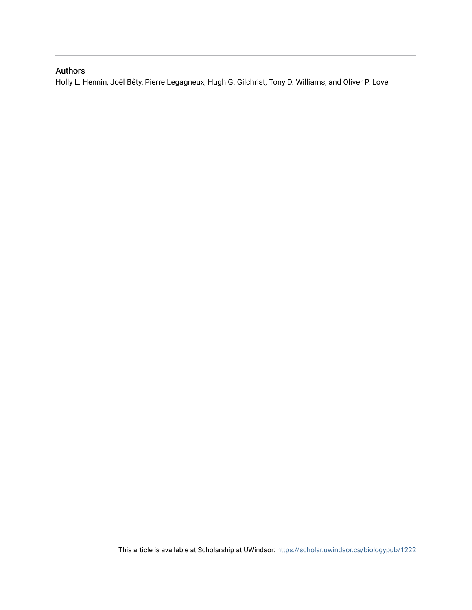## Authors

Holly L. Hennin, Joël Bêty, Pierre Legagneux, Hugh G. Gilchrist, Tony D. Williams, and Oliver P. Love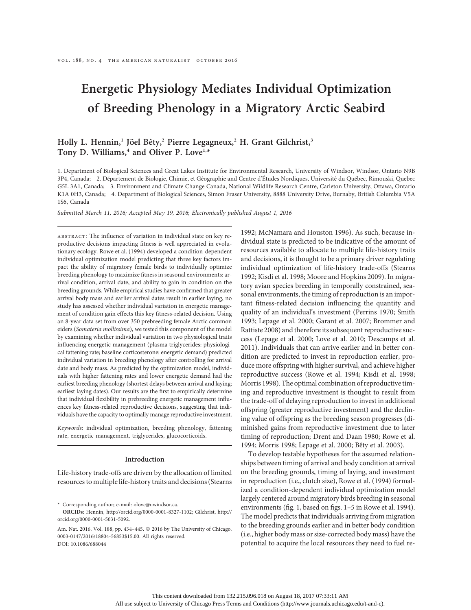# Energetic Physiology Mediates Individual Optimization of Breeding Phenology in a Migratory Arctic Seabird

### Holly L. Hennin,<sup>1</sup> Jöel Bêty,<sup>2</sup> Pierre Legagneux,<sup>2</sup> H. Grant Gilchrist,<sup>3</sup> Tony D. Williams, $4$  and Oliver P. Love<sup>1,\*</sup>

1. Department of Biological Sciences and Great Lakes Institute for Environmental Research, University of Windsor, Windsor, Ontario N9B 3P4, Canada; 2. Département de Biologie, Chimie, et Géographie and Centre d'Études Nordiques, Université du Québec, Rimouski, Quebec G5L 3A1, Canada; 3. Environment and Climate Change Canada, National Wildlife Research Centre, Carleton University, Ottawa, Ontario K1A 0H3, Canada; 4. Department of Biological Sciences, Simon Fraser University, 8888 University Drive, Burnaby, British Columbia V5A 1S6, Canada

Submitted March 11, 2016; Accepted May 19, 2016; Electronically published August 1, 2016

abstract: The influence of variation in individual state on key reproductive decisions impacting fitness is well appreciated in evolutionary ecology. Rowe et al. (1994) developed a condition-dependent individual optimization model predicting that three key factors impact the ability of migratory female birds to individually optimize breeding phenology to maximize fitness in seasonal environments: arrival condition, arrival date, and ability to gain in condition on the breeding grounds. While empirical studies have confirmed that greater arrival body mass and earlier arrival dates result in earlier laying, no study has assessed whether individual variation in energetic management of condition gain effects this key fitness-related decision. Using an 8-year data set from over 350 prebreeding female Arctic common eiders (Somateria mollissima), we tested this component of the model by examining whether individual variation in two physiological traits influencing energetic management (plasma triglycerides: physiological fattening rate; baseline corticosterone: energetic demand) predicted individual variation in breeding phenology after controlling for arrival date and body mass. As predicted by the optimization model, individuals with higher fattening rates and lower energetic demand had the earliest breeding phenology (shortest delays between arrival and laying; earliest laying dates). Our results are the first to empirically determine that individual flexibility in prebreeding energetic management influences key fitness-related reproductive decisions, suggesting that individuals have the capacity to optimally manage reproductive investment.

Keywords: individual optimization, breeding phenology, fattening rate, energetic management, triglycerides, glucocorticoids.

#### Introduction

Life-history trade-offs are driven by the allocation of limited resources to multiple life-history traits and decisions (Stearns

\* Corresponding author; e-mail: olove@uwindsor.ca.

1992; McNamara and Houston 1996). As such, because individual state is predicted to be indicative of the amount of resources available to allocate to multiple life-history traits and decisions, it is thought to be a primary driver regulating individual optimization of life-history trade-offs (Stearns 1992; Kisdi et al. 1998; Moore and Hopkins 2009). In migratory avian species breeding in temporally constrained, seasonal environments, the timing of reproduction is an important fitness-related decision influencing the quantity and quality of an individual's investment (Perrins 1970; Smith 1993; Lepage et al. 2000; Garant et al. 2007; Brommer and Rattiste 2008) and therefore its subsequent reproductive success (Lepage et al. 2000; Love et al. 2010; Descamps et al. 2011). Individuals that can arrive earlier and in better condition are predicted to invest in reproduction earlier, produce more offspring with higher survival, and achieve higher reproductive success (Rowe et al. 1994; Kisdi et al. 1998; Morris 1998). The optimal combination of reproductive timing and reproductive investment is thought to result from the trade-off of delaying reproduction to invest in additional offspring (greater reproductive investment) and the declining value of offspring as the breeding season progresses (diminished gains from reproductive investment due to later timing of reproduction; Drent and Daan 1980; Rowe et al. 1994; Morris 1998; Lepage et al. 2000; Bêty et al. 2003).

To develop testable hypotheses for the assumed relationships between timing of arrival and body condition at arrival on the breeding grounds, timing of laying, and investment in reproduction (i.e., clutch size), Rowe et al. (1994) formalized a condition-dependent individual optimization model largely centered around migratory birds breeding in seasonal environments (fig. 1, based on figs. 1–5 in Rowe et al. 1994). The model predicts that individuals arriving from migration to the breeding grounds earlier and in better body condition (i.e., higher body mass or size-corrected body mass) have the potential to acquire the local resources they need to fuel re-

ORCIDs: Hennin, http://orcid.org/0000-0001-8327-1102; Gilchrist, http:// orcid.org/0000-0001-5031-5092.

Am. Nat. 2016. Vol. 188, pp. 434-445.  $\odot$  2016 by The University of Chicago. 0003-0147/2016/18804-56853\$15.00. All rights reserved. DOI: 10.1086/688044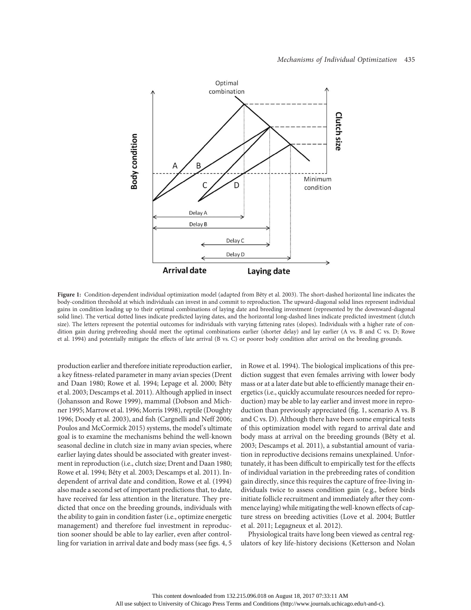

Figure 1: Condition-dependent individual optimization model (adapted from Bêty et al. 2003). The short-dashed horizontal line indicates the body-condition threshold at which individuals can invest in and commit to reproduction. The upward-diagonal solid lines represent individual gains in condition leading up to their optimal combinations of laying date and breeding investment (represented by the downward-diagonal solid line). The vertical dotted lines indicate predicted laying dates, and the horizontal long-dashed lines indicate predicted investment (clutch size). The letters represent the potential outcomes for individuals with varying fattening rates (slopes). Individuals with a higher rate of condition gain during prebreeding should meet the optimal combinations earlier (shorter delay) and lay earlier (A vs. B and C vs. D; Rowe et al. 1994) and potentially mitigate the effects of late arrival (B vs. C) or poorer body condition after arrival on the breeding grounds.

production earlier and therefore initiate reproduction earlier, a key fitness-related parameter in many avian species (Drent and Daan 1980; Rowe et al. 1994; Lepage et al. 2000; Bêty et al. 2003; Descamps et al. 2011). Although applied in insect (Johansson and Rowe 1999), mammal (Dobson and Michner 1995; Marrow et al. 1996; Morris 1998), reptile (Doughty 1996; Doody et al. 2003), and fish (Cargnelli and Neff 2006; Poulos and McCormick 2015) systems, the model's ultimate goal is to examine the mechanisms behind the well-known seasonal decline in clutch size in many avian species, where earlier laying dates should be associated with greater investment in reproduction (i.e., clutch size; Drent and Daan 1980; Rowe et al. 1994; Bêty et al. 2003; Descamps et al. 2011). Independent of arrival date and condition, Rowe et al. (1994) also made a second set of important predictions that, to date, have received far less attention in the literature. They predicted that once on the breeding grounds, individuals with the ability to gain in condition faster (i.e., optimize energetic management) and therefore fuel investment in reproduction sooner should be able to lay earlier, even after controlling for variation in arrival date and body mass (see figs. 4, 5 in Rowe et al. 1994). The biological implications of this prediction suggest that even females arriving with lower body mass or at a later date but able to efficiently manage their energetics (i.e., quickly accumulate resources needed for reproduction) may be able to lay earlier and invest more in reproduction than previously appreciated (fig. 1, scenario A vs. B and C vs. D). Although there have been some empirical tests of this optimization model with regard to arrival date and body mass at arrival on the breeding grounds (Bêty et al. 2003; Descamps et al. 2011), a substantial amount of variation in reproductive decisions remains unexplained. Unfortunately, it has been difficult to empirically test for the effects of individual variation in the prebreeding rates of condition gain directly, since this requires the capture of free-living individuals twice to assess condition gain (e.g., before birds initiate follicle recruitment and immediately after they commence laying) while mitigating the well-known effects of capture stress on breeding activities (Love et al. 2004; Buttler et al. 2011; Legagneux et al. 2012).

Physiological traits have long been viewed as central regulators of key life-history decisions (Ketterson and Nolan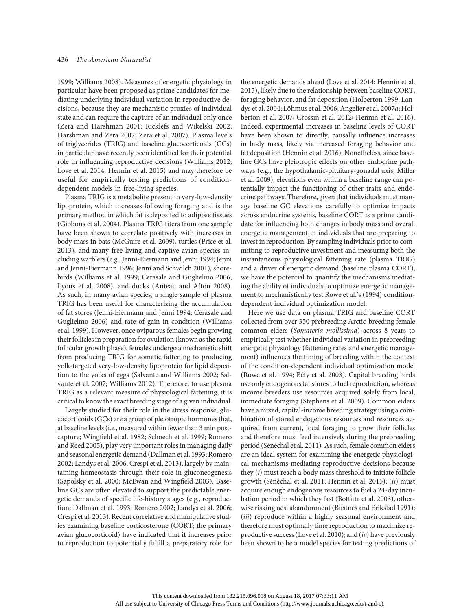1999; Williams 2008). Measures of energetic physiology in particular have been proposed as prime candidates for mediating underlying individual variation in reproductive decisions, because they are mechanistic proxies of individual state and can require the capture of an individual only once (Zera and Harshman 2001; Ricklefs and Wikelski 2002; Harshman and Zera 2007; Zera et al. 2007). Plasma levels of triglycerides (TRIG) and baseline glucocorticoids (GCs) in particular have recently been identified for their potential role in influencing reproductive decisions (Williams 2012; Love et al. 2014; Hennin et al. 2015) and may therefore be useful for empirically testing predictions of conditiondependent models in free-living species.

Plasma TRIG is a metabolite present in very-low-density lipoprotein, which increases following foraging and is the primary method in which fat is deposited to adipose tissues (Gibbons et al. 2004). Plasma TRIG titers from one sample have been shown to correlate positively with increases in body mass in bats (McGuire et al. 2009), turtles (Price et al. 2013), and many free-living and captive avian species including warblers (e.g., Jenni-Eiermann and Jenni 1994; Jenni and Jenni-Eiermann 1996; Jenni and Schwilch 2001), shorebirds (Williams et al. 1999; Cerasale and Guglielmo 2006; Lyons et al. 2008), and ducks (Anteau and Afton 2008). As such, in many avian species, a single sample of plasma TRIG has been useful for characterizing the accumulation of fat stores (Jenni-Eiermann and Jenni 1994; Cerasale and Guglielmo 2006) and rate of gain in condition (Williams et al. 1999). However, once oviparous females begin growing their follicles in preparation for ovulation (known as the rapid follicular growth phase), females undergo a mechanistic shift from producing TRIG for somatic fattening to producing yolk-targeted very-low-density lipoprotein for lipid deposition to the yolks of eggs (Salvante and Williams 2002; Salvante et al. 2007; Williams 2012). Therefore, to use plasma TRIG as a relevant measure of physiological fattening, it is critical to know the exact breeding stage of a given individual.

Largely studied for their role in the stress response, glucocorticoids (GCs) are a group of pleiotropic hormones that, at baseline levels (i.e., measured within fewer than 3 min postcapture; Wingfield et al. 1982; Schoech et al. 1999; Romero and Reed 2005), play very important roles in managing daily and seasonal energetic demand (Dallman et al. 1993; Romero 2002; Landys et al. 2006; Crespi et al. 2013), largely by maintaining homeostasis through their role in gluconeogenesis (Sapolsky et al. 2000; McEwan and Wingfield 2003). Baseline GCs are often elevated to support the predictable energetic demands of specific life-history stages (e.g., reproduction; Dallman et al. 1993; Romero 2002; Landys et al. 2006; Crespi et al. 2013). Recent correlative and manipulative studies examining baseline corticosterone (CORT; the primary avian glucocorticoid) have indicated that it increases prior to reproduction to potentially fulfill a preparatory role for the energetic demands ahead (Love et al. 2014; Hennin et al. 2015), likely due to the relationship between baseline CORT, foraging behavior, and fat deposition (Holberton 1999; Landys et al. 2004; Lõhmus et al. 2006; Angelier et al. 2007a; Holberton et al. 2007; Crossin et al. 2012; Hennin et al. 2016). Indeed, experimental increases in baseline levels of CORT have been shown to directly, causally influence increases in body mass, likely via increased foraging behavior and fat deposition (Hennin et al. 2016). Nonetheless, since baseline GCs have pleiotropic effects on other endocrine pathways (e.g., the hypothalamic-pituitary-gonadal axis; Miller et al. 2009), elevations even within a baseline range can potentially impact the functioning of other traits and endocrine pathways. Therefore, given that individuals must manage baseline GC elevations carefully to optimize impacts across endocrine systems, baseline CORT is a prime candidate for influencing both changes in body mass and overall energetic management in individuals that are preparing to invest in reproduction. By sampling individuals prior to committing to reproductive investment and measuring both the instantaneous physiological fattening rate (plasma TRIG) and a driver of energetic demand (baseline plasma CORT), we have the potential to quantify the mechanisms mediating the ability of individuals to optimize energetic management to mechanistically test Rowe et al.'s (1994) conditiondependent individual optimization model.

Here we use data on plasma TRIG and baseline CORT collected from over 350 prebreeding Arctic-breeding female common eiders (Somateria mollissima) across 8 years to empirically test whether individual variation in prebreeding energetic physiology (fattening rates and energetic management) influences the timing of breeding within the context of the condition-dependent individual optimization model (Rowe et al. 1994; Bêty et al. 2003). Capital breeding birds use only endogenous fat stores to fuel reproduction, whereas income breeders use resources acquired solely from local, immediate foraging (Stephens et al. 2009). Common eiders have a mixed, capital-income breeding strategy using a combination of stored endogenous resources and resources acquired from current, local foraging to grow their follicles and therefore must feed intensively during the prebreeding period (Sénéchal et al. 2011). As such, female common eiders are an ideal system for examining the energetic physiological mechanisms mediating reproductive decisions because they (i) must reach a body mass threshold to initiate follicle growth (Sénéchal et al. 2011; Hennin et al. 2015); (ii) must acquire enough endogenous resources to fuel a 24-day incubation period in which they fast (Bottitta et al. 2003), otherwise risking nest abandonment (Bustnes and Erikstad 1991); (iii) reproduce within a highly seasonal environment and therefore must optimally time reproduction to maximize reproductive success (Love et al. 2010); and  $(iv)$  have previously been shown to be a model species for testing predictions of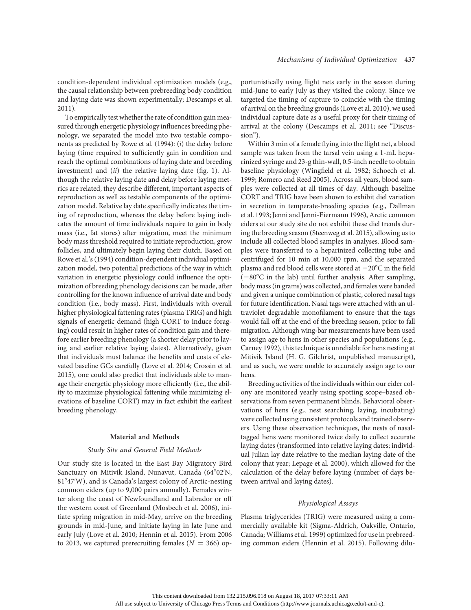condition-dependent individual optimization models (e.g., the causal relationship between prebreeding body condition and laying date was shown experimentally; Descamps et al. 2011).

To empirically test whether the rate of condition gain measured through energetic physiology influences breeding phenology, we separated the model into two testable components as predicted by Rowe et al. (1994): (i) the delay before laying (time required to sufficiently gain in condition and reach the optimal combinations of laying date and breeding investment) and  $(ii)$  the relative laying date (fig. 1). Although the relative laying date and delay before laying metrics are related, they describe different, important aspects of reproduction as well as testable components of the optimization model. Relative lay date specifically indicates the timing of reproduction, whereas the delay before laying indicates the amount of time individuals require to gain in body mass (i.e., fat stores) after migration, meet the minimum body mass threshold required to initiate reproduction, grow follicles, and ultimately begin laying their clutch. Based on Rowe et al.'s (1994) condition-dependent individual optimization model, two potential predictions of the way in which variation in energetic physiology could influence the optimization of breeding phenology decisions can be made, after controlling for the known influence of arrival date and body condition (i.e., body mass). First, individuals with overall higher physiological fattening rates (plasma TRIG) and high signals of energetic demand (high CORT to induce foraging) could result in higher rates of condition gain and therefore earlier breeding phenology (a shorter delay prior to laying and earlier relative laying dates). Alternatively, given that individuals must balance the benefits and costs of elevated baseline GCs carefully (Love et al. 2014; Crossin et al. 2015), one could also predict that individuals able to manage their energetic physiology more efficiently (i.e., the ability to maximize physiological fattening while minimizing elevations of baseline CORT) may in fact exhibit the earliest breeding phenology.

#### Material and Methods

#### Study Site and General Field Methods

Our study site is located in the East Bay Migratory Bird Sanctuary on Mitivik Island, Nunavut, Canada (64°02'N, 81°47'W), and is Canada's largest colony of Arctic-nesting common eiders (up to 9,000 pairs annually). Females winter along the coast of Newfoundland and Labrador or off the western coast of Greenland (Mosbech et al. 2006), initiate spring migration in mid-May, arrive on the breeding grounds in mid-June, and initiate laying in late June and early July (Love et al. 2010; Hennin et al. 2015). From 2006 to 2013, we captured prerecruiting females ( $N = 366$ ) opportunistically using flight nets early in the season during mid-June to early July as they visited the colony. Since we targeted the timing of capture to coincide with the timing of arrival on the breeding grounds (Love et al. 2010), we used individual capture date as a useful proxy for their timing of arrival at the colony (Descamps et al. 2011; see "Discussion").

Within 3 min of a female flying into the flight net, a blood sample was taken from the tarsal vein using a 1-mL heparinized syringe and 23-g thin-wall, 0.5-inch needle to obtain baseline physiology (Wingfield et al. 1982; Schoech et al. 1999; Romero and Reed 2005). Across all years, blood samples were collected at all times of day. Although baseline CORT and TRIG have been shown to exhibit diel variation in secretion in temperate-breeding species (e.g., Dallman et al. 1993; Jenni and Jenni-Eiermann 1996), Arctic common eiders at our study site do not exhibit these diel trends during the breeding season (Steenweg et al. 2015), allowing us to include all collected blood samples in analyses. Blood samples were transferred to a heparinized collecting tube and centrifuged for 10 min at 10,000 rpm, and the separated plasma and red blood cells were stored at  $-20^{\circ}$ C in the field  $(-80^{\circ}C$  in the lab) until further analysis. After sampling, body mass (in grams) was collected, and females were banded and given a unique combination of plastic, colored nasal tags for future identification. Nasal tags were attached with an ultraviolet degradable monofilament to ensure that the tags would fall off at the end of the breeding season, prior to fall migration. Although wing-bar measurements have been used to assign age to hens in other species and populations (e.g., Carney 1992), this technique is unreliable for hens nesting at Mitivik Island (H. G. Gilchrist, unpublished manuscript), and as such, we were unable to accurately assign age to our hens.

Breeding activities of the individuals within our eider colony are monitored yearly using spotting scope–based observations from seven permanent blinds. Behavioral observations of hens (e.g., nest searching, laying, incubating) were collected using consistent protocols and trained observers. Using these observation techniques, the nests of nasaltagged hens were monitored twice daily to collect accurate laying dates (transformed into relative laying dates; individual Julian lay date relative to the median laying date of the colony that year; Lepage et al. 2000), which allowed for the calculation of the delay before laying (number of days between arrival and laying dates).

#### Physiological Assays

Plasma triglycerides (TRIG) were measured using a commercially available kit (Sigma-Aldrich, Oakville, Ontario, Canada; Williams et al. 1999) optimized for use in prebreeding common eiders (Hennin et al. 2015). Following dilu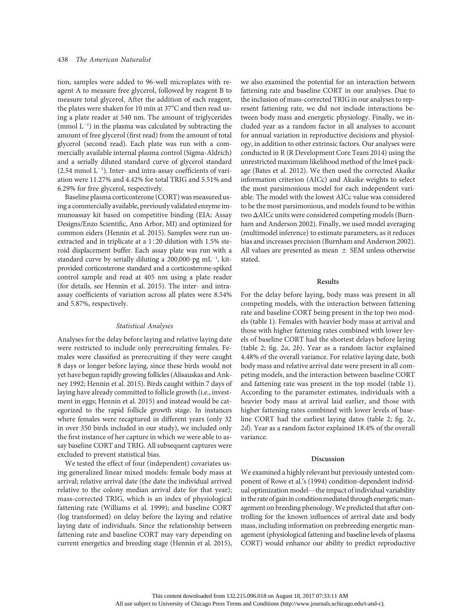tion, samples were added to 96-well microplates with reagent A to measure free glycerol, followed by reagent B to measure total glycerol. After the addition of each reagent, the plates were shaken for 10 min at  $37^{\circ}$ C and then read using a plate reader at 540 nm. The amount of triglycerides  $\pmod{L^{-1}}$  in the plasma was calculated by subtracting the amount of free glycerol (first read) from the amount of total glycerol (second read). Each plate was run with a commercially available internal plasma control (Sigma-Aldrich) and a serially diluted standard curve of glycerol standard  $(2.54 \text{ mmol L}^{-1})$ . Inter- and intra-assay coefficients of variation were 11.27% and 4.42% for total TRIG and 5.51% and 6.29% for free glycerol, respectively.

Baseline plasma corticosterone (CORT) was measured using a commercially available, previously validated enzyme immunoassay kit based on competitive binding (EIA; Assay Designs/Enzo Scientific, Ann Arbor, MI) and optimized for common eiders (Hennin et al. 2015). Samples were run unextracted and in triplicate at a 1∶20 dilution with 1.5% steroid displacement buffer. Each assay plate was run with a standard curve by serially diluting a 200,000-pg  $mL^{-1}$ , kitprovided corticosterone standard and a corticosterone-spiked control sample and read at 405 nm using a plate reader (for details, see Hennin et al. 2015). The inter- and intraassay coefficients of variation across all plates were 8.54% and 5.87%, respectively.

#### Statistical Analyses

Analyses for the delay before laying and relative laying date were restricted to include only prerecruiting females. Females were classified as prerecruiting if they were caught 8 days or longer before laying, since these birds would not yet have begun rapidly growing follicles (Alisauskas and Ankney 1992; Hennin et al. 2015). Birds caught within 7 days of laying have already committed to follicle growth (i.e., investment in eggs; Hennin et al. 2015) and instead would be categorized to the rapid follicle growth stage. In instances where females were recaptured in different years (only 32 in over 350 birds included in our study), we included only the first instance of her capture in which we were able to assay baseline CORT and TRIG. All subsequent captures were excluded to prevent statistical bias.

We tested the effect of four (independent) covariates using generalized linear mixed models: female body mass at arrival; relative arrival date (the date the individual arrived relative to the colony median arrival date for that year); mass-corrected TRIG, which is an index of physiological fattening rate (Williams et al. 1999); and baseline CORT (log transformed) on delay before the laying and relative laying date of individuals. Since the relationship between fattening rate and baseline CORT may vary depending on current energetics and breeding stage (Hennin et al. 2015), we also examined the potential for an interaction between fattening rate and baseline CORT in our analyses. Due to the inclusion of mass-corrected TRIG in our analyses to represent fattening rate, we did not include interactions between body mass and energetic physiology. Finally, we included year as a random factor in all analyses to account for annual variation in reproductive decisions and physiology, in addition to other extrinsic factors. Our analyses were conducted in R (R Development Core Team 2014) using the unrestricted maximum likelihood method of the lme4 package (Bates et al. 2012). We then used the corrected Akaike information criterion (AICc) and Akaike weights to select the most parsimonious model for each independent variable. The model with the lowest AICc value was considered to be the most parsimonious, and models found to be within two  $\Delta$ AICc units were considered competing models (Burnham and Anderson 2002). Finally, we used model averaging (multimodel inference) to estimate parameters, as it reduces bias and increases precision (Burnham and Anderson 2002). All values are presented as mean  $\pm$  SEM unless otherwise stated.

#### Results

For the delay before laying, body mass was present in all competing models, with the interaction between fattening rate and baseline CORT being present in the top two models (table 1). Females with heavier body mass at arrival and those with higher fattening rates combined with lower levels of baseline CORT had the shortest delays before laying (table 2; fig. 2a, 2b). Year as a random factor explained 4.48% of the overall variance. For relative laying date, both body mass and relative arrival date were present in all competing models, and the interaction between baseline CORT and fattening rate was present in the top model (table 1). According to the parameter estimates, individuals with a heavier body mass at arrival laid earlier, and those with higher fattening rates combined with lower levels of baseline CORT had the earliest laying dates (table 2; fig. 2c, 2d). Year as a random factor explained 18.4% of the overall variance.

#### Discussion

We examined a highly relevant but previously untested component of Rowe et al.'s (1994) condition-dependent individual optimization model—the impact of individual variability in the rate of gain in condition mediated through energetic management on breeding phenology.We predicted that after controlling for the known influences of arrival date and body mass, including information on prebreeding energetic management (physiological fattening and baseline levels of plasma CORT) would enhance our ability to predict reproductive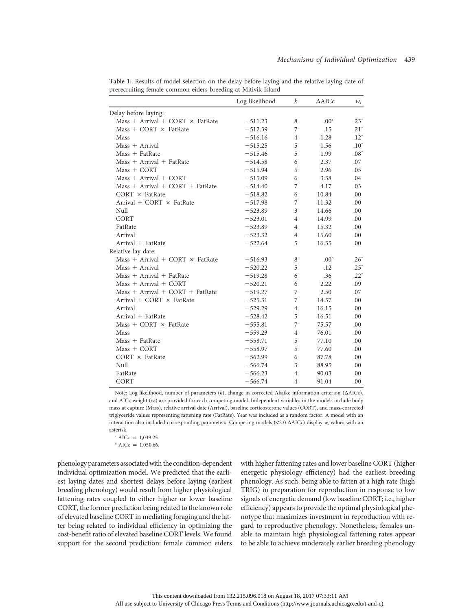|                                        | Log likelihood | $\mathbf{k}$   | $\triangle$ AICc | $W_i$  |
|----------------------------------------|----------------|----------------|------------------|--------|
| Delay before laying:                   |                |                |                  |        |
| Mass + Arrival + CORT $\times$ FatRate | $-511.23$      | 8              | .00 <sup>a</sup> | $.23*$ |
| $Mass + CORT \times Father$            | $-512.39$      | 7              | .15              | $.21*$ |
| Mass                                   | $-516.16$      | $\overline{4}$ | 1.28             | $.12*$ |
| $Mass + Arrival$                       | $-515.25$      | 5              | 1.56             | $.10*$ |
| $Mass + FatRate$                       | $-515.46$      | 5              | 1.99             | $.08*$ |
| $Mass + Arrival + FatRate$             | $-514.58$      | 6              | 2.37             | .07    |
| $Mass + CORT$                          | $-515.94$      | 5              | 2.96             | .05    |
| $Mass + Arrival + CORT$                | $-515.09$      | 6              | 3.38             | .04    |
| $Mass + Arrival + CORT + FatRate$      | $-514.40$      | 7              | 4.17             | .03    |
| $CORT \times \text{FatRate}$           | $-518.82$      | 6              | 10.84            | .00    |
| Arrival + CORT $\times$ FatRate        | $-517.98$      | 7              | 11.32            | .00    |
| Null                                   | $-523.89$      | 3              | 14.66            | .00    |
| CORT                                   | $-523.01$      | $\overline{4}$ | 14.99            | .00    |
| FatRate                                | $-523.89$      | $\overline{4}$ | 15.32            | .00    |
| Arrival                                | $-523.32$      | $\overline{4}$ | 15.60            | .00    |
| $Arrival$ + FatRate                    | $-522.64$      | 5              | 16.35            | .00    |
| Relative lay date:                     |                |                |                  |        |
| Mass + Arrival + CORT $\times$ FatRate | $-516.93$      | 8              | .00 <sup>b</sup> | $.26*$ |
| $Mass + Arrival$                       | $-520.22$      | 5              | .12              | $.25*$ |
| $Mass + Arrival + FatRate$             | $-519.28$      | 6              | .36              | $.22*$ |
| $Mass + Arrival + CORT$                | $-520.21$      | 6              | 2.22             | .09    |
| $Mass + Arrival + CORT + FatRate$      | $-519.27$      | 7              | 2.50             | .07    |
| Arrival + CORT $\times$ FatRate        | $-525.31$      | 7              | 14.57            | .00    |
| Arrival                                | $-529.29$      | 4              | 16.15            | .00    |
| $Arrival$ + FatRate                    | $-528.42$      | 5              | 16.51            | .00    |
| $Mass + CORT \times Father$            | $-555.81$      | 7              | 75.57            | .00    |
| Mass                                   | $-559.23$      | 4              | 76.01            | .00    |
| $Mass + FatRate$                       | $-558.71$      | 5              | 77.10            | .00    |
| $Mass + CORT$                          | $-558.97$      | 5              | 77.60            | .00    |
| $CORT \times \text{FatRate}$           | $-562.99$      | 6              | 87.78            | .00    |
| Null                                   | $-566.74$      | 3              | 88.95            | .00    |
| FatRate                                | $-566.23$      | $\overline{4}$ | 90.03            | .00    |
| CORT                                   | $-566.74$      | $\overline{4}$ | 91.04            | .00    |

Table 1: Results of model selection on the delay before laying and the relative laying date of prerecruiting female common eiders breeding at Mitivik Island

Note: Log likelihood, number of parameters (k), change in corrected Akaike information criterion (DAICc), and AICc weight  $(w_i)$  are provided for each competing model. Independent variables in the models include body mass at capture (Mass), relative arrival date (Arrival), baseline corticosterone values (CORT), and mass-corrected triglyceride values representing fattening rate (FatRate). Year was included as a random factor. A model with an interaction also included corresponding parameters. Competing models ( $\langle 2.0 \text{ }\Delta \text{AICc} \rangle$  display  $w_i$  values with an asterisk.

<sup>a</sup> AICc = 1,039.25.

 $b$  AICc = 1,050.66.

phenology parameters associated with the condition-dependent individual optimization model. We predicted that the earliest laying dates and shortest delays before laying (earliest breeding phenology) would result from higher physiological fattening rates coupled to either higher or lower baseline CORT, the former prediction being related to the known role of elevated baseline CORT in mediating foraging and the latter being related to individual efficiency in optimizing the cost-benefit ratio of elevated baseline CORT levels. We found support for the second prediction: female common eiders with higher fattening rates and lower baseline CORT (higher energetic physiology efficiency) had the earliest breeding phenology. As such, being able to fatten at a high rate (high TRIG) in preparation for reproduction in response to low signals of energetic demand (low baseline CORT; i.e., higher efficiency) appears to provide the optimal physiological phenotype that maximizes investment in reproduction with regard to reproductive phenology. Nonetheless, females unable to maintain high physiological fattening rates appear to be able to achieve moderately earlier breeding phenology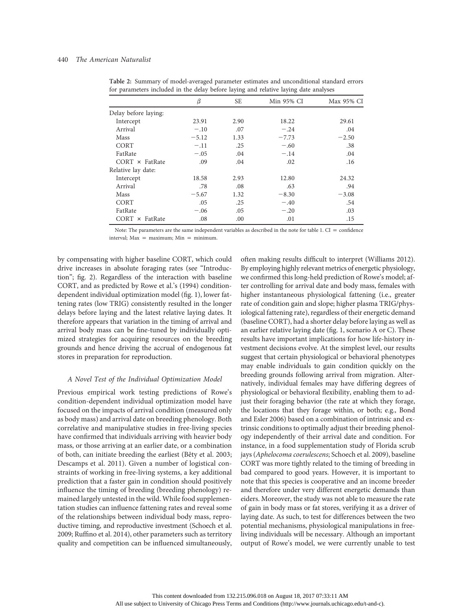|                              | β       | <b>SE</b> | Min 95% CI | Max 95% CI |
|------------------------------|---------|-----------|------------|------------|
| Delay before laying:         |         |           |            |            |
| Intercept                    | 23.91   | 2.90      | 18.22      | 29.61      |
| Arrival                      | $-.10$  | .07       | $-.24$     | .04        |
| Mass                         | $-5.12$ | 1.33      | $-7.73$    | $-2.50$    |
| CORT                         | $-.11$  | .25       | $-.60$     | .38        |
| FatRate                      | $-.05$  | .04       | $-.14$     | .04        |
| $CORT \times \text{FatRate}$ | .09     | .04       | .02        | .16        |
| Relative lay date:           |         |           |            |            |
| Intercept                    | 18.58   | 2.93      | 12.80      | 24.32      |
| Arrival                      | .78     | .08       | .63        | .94        |
| Mass                         | $-5.67$ | 1.32      | $-8.30$    | $-3.08$    |
| CORT                         | .05     | .25       | $-.40$     | .54        |
| FatRate                      | $-.06$  | .05       | $-.20$     | .03        |
| $CORT \times \text{FatRate}$ | .08     | .00       | .01        | .15        |

Table 2: Summary of model-averaged parameter estimates and unconditional standard errors for parameters included in the delay before laying and relative laying date analyses

Note: The parameters are the same independent variables as described in the note for table 1.  $CI =$  confidence interval; Max = maximum; Min = minimum.

by compensating with higher baseline CORT, which could drive increases in absolute foraging rates (see "Introduction"; fig. 2). Regardless of the interaction with baseline CORT, and as predicted by Rowe et al.'s (1994) conditiondependent individual optimization model (fig. 1), lower fattening rates (low TRIG) consistently resulted in the longer delays before laying and the latest relative laying dates. It therefore appears that variation in the timing of arrival and arrival body mass can be fine-tuned by individually optimized strategies for acquiring resources on the breeding grounds and hence driving the accrual of endogenous fat stores in preparation for reproduction.

#### A Novel Test of the Individual Optimization Model

Previous empirical work testing predictions of Rowe's condition-dependent individual optimization model have focused on the impacts of arrival condition (measured only as body mass) and arrival date on breeding phenology. Both correlative and manipulative studies in free-living species have confirmed that individuals arriving with heavier body mass, or those arriving at an earlier date, or a combination of both, can initiate breeding the earliest (Bêty et al. 2003; Descamps et al. 2011). Given a number of logistical constraints of working in free-living systems, a key additional prediction that a faster gain in condition should positively influence the timing of breeding (breeding phenology) remained largely untested in the wild. While food supplementation studies can influence fattening rates and reveal some of the relationships between individual body mass, reproductive timing, and reproductive investment (Schoech et al. 2009; Ruffino et al. 2014), other parameters such as territory quality and competition can be influenced simultaneously, often making results difficult to interpret (Williams 2012). By employing highly relevant metrics of energetic physiology, we confirmed this long-held prediction of Rowe's model; after controlling for arrival date and body mass, females with higher instantaneous physiological fattening (i.e., greater rate of condition gain and slope; higher plasma TRIG/physiological fattening rate), regardless of their energetic demand (baseline CORT), had a shorter delay before laying as well as an earlier relative laying date (fig. 1, scenario A or C). These results have important implications for how life-history investment decisions evolve. At the simplest level, our results suggest that certain physiological or behavioral phenotypes may enable individuals to gain condition quickly on the breeding grounds following arrival from migration. Alternatively, individual females may have differing degrees of physiological or behavioral flexibility, enabling them to adjust their foraging behavior (the rate at which they forage, the locations that they forage within, or both; e.g., Bond and Esler 2006) based on a combination of intrinsic and extrinsic conditions to optimally adjust their breeding phenology independently of their arrival date and condition. For instance, in a food supplementation study of Florida scrub jays (Aphelocoma coerulescens; Schoech et al. 2009), baseline CORT was more tightly related to the timing of breeding in bad compared to good years. However, it is important to note that this species is cooperative and an income breeder and therefore under very different energetic demands than eiders. Moreover, the study was not able to measure the rate of gain in body mass or fat stores, verifying it as a driver of laying date. As such, to test for differences between the two potential mechanisms, physiological manipulations in freeliving individuals will be necessary. Although an important output of Rowe's model, we were currently unable to test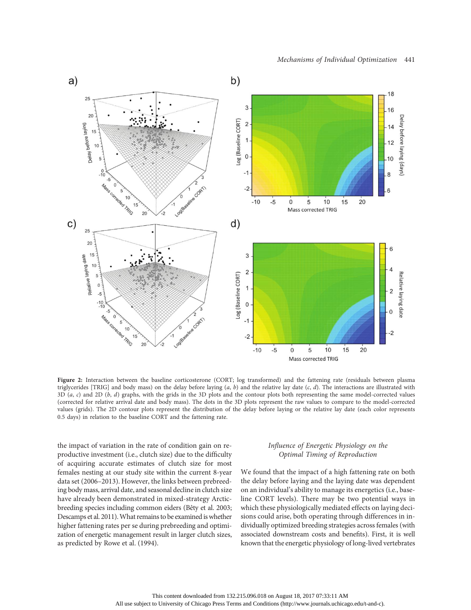

Figure 2: Interaction between the baseline corticosterone (CORT; log transformed) and the fattening rate (residuals between plasma triglycerides [TRIG] and body mass) on the delay before laying  $(a, b)$  and the relative lay date  $(c, d)$ . The interactions are illustrated with  $3D$  (*a, c*) and  $2D$  (*b, d*) graphs, with the grids in the  $3D$  plots and the contour plots both representing the same model-corrected values (corrected for relative arrival date and body mass). The dots in the 3D plots represent the raw values to compare to the model-corrected values (grids). The 2D contour plots represent the distribution of the delay before laying or the relative lay date (each color represents 0.5 days) in relation to the baseline CORT and the fattening rate.

the impact of variation in the rate of condition gain on reproductive investment (i.e., clutch size) due to the difficulty of acquiring accurate estimates of clutch size for most females nesting at our study site within the current 8-year data set (2006–2013). However, the links between prebreeding body mass, arrival date, and seasonal decline in clutch size have already been demonstrated in mixed-strategy Arcticbreeding species including common eiders (Bêty et al. 2003; Descamps et al. 2011).What remains to be examined is whether higher fattening rates per se during prebreeding and optimization of energetic management result in larger clutch sizes, as predicted by Rowe et al. (1994).

#### Influence of Energetic Physiology on the Optimal Timing of Reproduction

We found that the impact of a high fattening rate on both the delay before laying and the laying date was dependent on an individual's ability to manage its energetics (i.e., baseline CORT levels). There may be two potential ways in which these physiologically mediated effects on laying decisions could arise, both operating through differences in individually optimized breeding strategies across females (with associated downstream costs and benefits). First, it is well known that the energetic physiology of long-lived vertebrates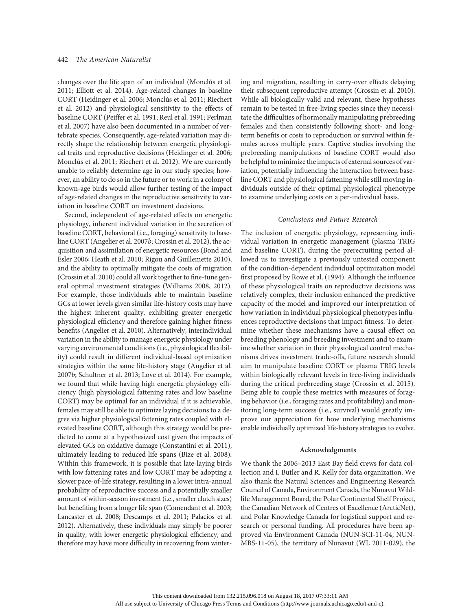changes over the life span of an individual (Monclús et al. 2011; Elliott et al. 2014). Age-related changes in baseline CORT (Heidinger et al. 2006; Monclús et al. 2011; Riechert et al. 2012) and physiological sensitivity to the effects of baseline CORT (Peiffer et al. 1991; Reul et al. 1991; Perlman et al. 2007) have also been documented in a number of vertebrate species. Consequently, age-related variation may directly shape the relationship between energetic physiological traits and reproductive decisions (Heidinger et al. 2006; Monclús et al. 2011; Riechert et al. 2012). We are currently unable to reliably determine age in our study species; however, an ability to do so in the future or to work in a colony of known-age birds would allow further testing of the impact of age-related changes in the reproductive sensitivity to variation in baseline CORT on investment decisions.

Second, independent of age-related effects on energetic physiology, inherent individual variation in the secretion of baseline CORT, behavioral (i.e., foraging) sensitivity to baseline CORT (Angelier et al. 2007b; Crossin et al. 2012), the acquisition and assimilation of energetic resources (Bond and Esler 2006; Heath et al. 2010; Rigou and Guillemette 2010), and the ability to optimally mitigate the costs of migration (Crossin et al. 2010) could all work together to fine-tune general optimal investment strategies (Williams 2008, 2012). For example, those individuals able to maintain baseline GCs at lower levels given similar life-history costs may have the highest inherent quality, exhibiting greater energetic physiological efficiency and therefore gaining higher fitness benefits (Angelier et al. 2010). Alternatively, interindividual variation in the ability to manage energetic physiology under varying environmental conditions (i.e., physiological flexibility) could result in different individual-based optimization strategies within the same life-history stage (Angelier et al. 2007b; Schultner et al. 2013; Love et al. 2014). For example, we found that while having high energetic physiology efficiency (high physiological fattening rates and low baseline CORT) may be optimal for an individual if it is achievable, females may still be able to optimize laying decisions to a degree via higher physiological fattening rates coupled with elevated baseline CORT, although this strategy would be predicted to come at a hypothesized cost given the impacts of elevated GCs on oxidative damage (Constantini et al. 2011), ultimately leading to reduced life spans (Bize et al. 2008). Within this framework, it is possible that late-laying birds with low fattening rates and low CORT may be adopting a slower pace-of-life strategy, resulting in a lower intra-annual probability of reproductive success and a potentially smaller amount of within-season investment (i.e., smaller clutch sizes) but benefiting from a longer life span (Comendant et al. 2003; Lancaster et al. 2008; Descamps et al. 2011; Palacios et al. 2012). Alternatively, these individuals may simply be poorer in quality, with lower energetic physiological efficiency, and therefore may have more difficulty in recovering from wintering and migration, resulting in carry-over effects delaying their subsequent reproductive attempt (Crossin et al. 2010). While all biologically valid and relevant, these hypotheses remain to be tested in free-living species since they necessitate the difficulties of hormonally manipulating prebreeding females and then consistently following short- and longterm benefits or costs to reproduction or survival within females across multiple years. Captive studies involving the prebreeding manipulations of baseline CORT would also be helpful to minimize the impacts of external sources of variation, potentially influencing the interaction between baseline CORT and physiological fattening while still moving individuals outside of their optimal physiological phenotype to examine underlying costs on a per-individual basis.

#### Conclusions and Future Research

The inclusion of energetic physiology, representing individual variation in energetic management (plasma TRIG and baseline CORT), during the prerecruiting period allowed us to investigate a previously untested component of the condition-dependent individual optimization model first proposed by Rowe et al. (1994). Although the influence of these physiological traits on reproductive decisions was relatively complex, their inclusion enhanced the predictive capacity of the model and improved our interpretation of how variation in individual physiological phenotypes influences reproductive decisions that impact fitness. To determine whether these mechanisms have a causal effect on breeding phenology and breeding investment and to examine whether variation in their physiological control mechanisms drives investment trade-offs, future research should aim to manipulate baseline CORT or plasma TRIG levels within biologically relevant levels in free-living individuals during the critical prebreeding stage (Crossin et al. 2015). Being able to couple these metrics with measures of foraging behavior (i.e., foraging rates and profitability) and monitoring long-term success (i.e., survival) would greatly improve our appreciation for how underlying mechanisms enable individually optimized life-history strategies to evolve.

#### Acknowledgments

We thank the 2006–2013 East Bay field crews for data collection and I. Butler and R. Kelly for data organization. We also thank the Natural Sciences and Engineering Research Council of Canada, Environment Canada, the Nunavut Wildlife Management Board, the Polar Continental Shelf Project, the Canadian Network of Centres of Excellence (ArcticNet), and Polar Knowledge Canada for logistical support and research or personal funding. All procedures have been approved via Environment Canada (NUN-SCI-11-04, NUN-MBS-11-05), the territory of Nunavut (WL 2011-029), the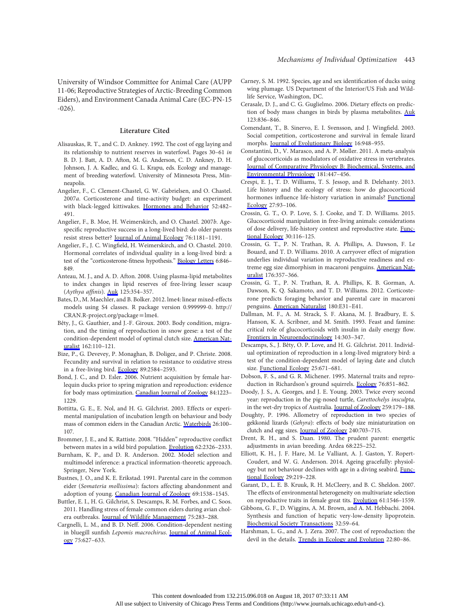University of Windsor Committee for Animal Care (AUPP 11-06; Reproductive Strategies of Arctic-Breeding Common Eiders), and Environment Canada Animal Care (EC-PN-15 -026).

#### Literature Cited

- Alisauskas, R. T., and C. D. Ankney. 1992. The cost of egg laying and its relationship to nutrient reserves in waterfowl. Pages 30–61 in B. D. J. Batt, A. D. Afton, M. G. Anderson, C. D. Ankney, D. H. Johnson, J. A. Kadlec, and G. L. Krapu, eds. Ecology and management of breeding waterfowl. University of Minnesota Press, Minneapolis.
- Angelier, F., C. Clement-Chastel, G. W. Gabrielsen, and O. Chastel. 2007a. Corticosterone and time-activity budget: an experiment with black-legged kittiwakes. [Hormones and Behavior](http://www.journals.uchicago.edu/action/showLinks?pmid=17707380&crossref=10.1016%2Fj.yhbeh.2007.07.003) 52:482– 491.
- Angelier, F., B. Moe, H. Weimerskirch, and O. Chastel. 2007b. Agespecific reproductive success in a long-lived bird: do older parents resist stress better? [Journal of Animal Ecology](http://www.journals.uchicago.edu/action/showLinks?pmid=17922714&crossref=10.1111%2Fj.1365-2656.2007.01295.x) 76:1181–1191.
- Angelier, F., J. C. Wingfield, H. Weimerskirch, and O. Chastel. 2010. Hormonal correlates of individual quality in a long-lived bird: a test of the "corticosterone-fitness hypothesis." [Biology Letters](http://www.journals.uchicago.edu/action/showLinks?pmid=20573614&crossref=10.1098%2Frsbl.2010.0376) 6:846– 849.
- Anteau, M. J., and A. D. Afton. 2008. Using plasma-lipid metabolites to index changes in lipid reserves of free-living lesser scaup (Aythya affinis). [Auk](http://www.journals.uchicago.edu/action/showLinks?crossref=10.1525%2Fauk.2008.06255) 125:354–357.
- Bates, D., M. Maechler, and B. Bolker. 2012. lme4: linear mixed-effects models using S4 classes. R package version 0.999999-0. http://  $CRAN.R-project.org/package = Ime4.$
- Bêty, J., G. Gauthier, and J.-F. Giroux. 2003. Body condition, migration, and the timing of reproduction in snow geese: a test of the condition-dependent model of optimal clutch size. [American Nat](http://www.journals.uchicago.edu/action/showLinks?system=10.1086%2F375680)[uralist](http://www.journals.uchicago.edu/action/showLinks?system=10.1086%2F375680) 162:110–121.
- Bize, P., G. Devevey, P. Monaghan, B. Doligez, and P. Christe. 2008. Fecundity and survival in relation to resistance to oxidative stress in a free-living bird. [Ecology](http://www.journals.uchicago.edu/action/showLinks?pmid=18831179&crossref=10.1890%2F07-1135.1) 89:2584–2593.
- Bond, J. C., and D. Esler. 2006. Nutrient acquisition by female harlequin ducks prior to spring migration and reproduction: evidence for body mass optimization. [Canadian Journal of Zoology](http://www.journals.uchicago.edu/action/showLinks?crossref=10.1139%2Fz06-111) 84:1223– 1229.
- Bottitta, G. E., E. Nol, and H. G. Gilchrist. 2003. Effects or experimental manipulation of incubation length on behaviour and body mass of common eiders in the Canadian Arctic. [Waterbirds](http://www.journals.uchicago.edu/action/showLinks?crossref=10.1675%2F1524-4695%282003%29026%5B0100%3AEOEMOI%5D2.0.CO%3B2) 26:100– 107.
- Brommer, J. E., and K. Rattiste. 2008. "Hidden" reproductive conflict between mates in a wild bird population. [Evolution](http://www.journals.uchicago.edu/action/showLinks?pmid=18616571&crossref=10.1111%2Fj.1558-5646.2008.00451.x) 62:2326–2333.
- Burnham, K. P., and D. R. Anderson. 2002. Model selection and multimodel inference: a practical information-theoretic approach. Springer, New York.
- Bustnes, J. O., and K. E. Erikstad. 1991. Parental care in the common eider (Somateria mollissima): factors affecting abandonment and adoption of young. [Canadian Journal of Zoology](http://www.journals.uchicago.edu/action/showLinks?crossref=10.1139%2Fz91-216) 69:1538–1545.
- Buttler, E. I., H. G. Gilchrist, S. Descamps, R. M. Forbes, and C. Soos. 2011. Handling stress of female common eiders during avian cholera outbreaks. [Journal of Wildlife Management](http://www.journals.uchicago.edu/action/showLinks?crossref=10.1002%2Fjwmg.38) 75:283–288.
- Cargnelli, L. M., and B. D. Neff. 2006. Condition-dependent nesting in bluegill sunfish Lepomis macrochirus. [Journal of Animal Ecol](http://www.journals.uchicago.edu/action/showLinks?pmid=16689945&crossref=10.1111%2Fj.1365-2656.2006.01083.x)[ogy](http://www.journals.uchicago.edu/action/showLinks?pmid=16689945&crossref=10.1111%2Fj.1365-2656.2006.01083.x) 75:627–633.
- Carney, S. M. 1992. Species, age and sex identification of ducks using wing plumage. US Department of the Interior/US Fish and Wildlife Service, Washington, DC.
- Cerasale, D. J., and C. G. Guglielmo. 2006. Dietary effects on prediction of body mass changes in birds by plasma metabolites. [Auk](http://www.journals.uchicago.edu/action/showLinks?crossref=10.1642%2F0004-8038%282006%29123%5B836%3ADEOPOB%5D2.0.CO%3B2) 123:836–846.
- Comendant, T., B. Sinervo, E. I. Svensson, and J. Wingfield. 2003. Social competition, corticosterone and survival in female lizard morphs. [Journal of Evolutionary Biology](http://www.journals.uchicago.edu/action/showLinks?pmid=14635910&crossref=10.1046%2Fj.1420-9101.2003.00598.x) 16:948–955.
- Constantini, D., V. Marasco, and A. P. Møller. 2011. A meta-analysis of glucocorticoids as modulators of oxidative stress in vertebrates. [Journal of Comparative Physiology B: Biochemical, Systems, and](http://www.journals.uchicago.edu/action/showLinks?pmid=21416253) [Environmental Physiology](http://www.journals.uchicago.edu/action/showLinks?pmid=21416253) 181:447–456.
- Crespi, E. J., T. D. Williams, T. S. Jessop, and B. Delehanty. 2013. Life history and the ecology of stress: how do glucocorticoid hormones influence life-history variation in animals? [Functional](http://www.journals.uchicago.edu/action/showLinks?crossref=10.1111%2F1365-2435.12009) [Ecology](http://www.journals.uchicago.edu/action/showLinks?crossref=10.1111%2F1365-2435.12009) 27:93–106.
- Crossin, G. T., O. P. Love, S. J. Cooke, and T. D. Williams. 2015. Glucocorticoid manipulation in free-living animals: considerations of dose delivery, life-history context and reproductive state. [Func](http://www.journals.uchicago.edu/action/showLinks?crossref=10.1111%2F1365-2435.12482)[tional Ecology](http://www.journals.uchicago.edu/action/showLinks?crossref=10.1111%2F1365-2435.12482) 30:116–125.
- Crossin, G. T., P. N. Trathan, R. A. Phillips, A. Dawson, F. Le Bouard, and T. D. Williams. 2010. A carryover effect of migration underlies individual variation in reproductive readiness and extreme egg size dimorphism in macaroni penguins. [American Nat](http://www.journals.uchicago.edu/action/showLinks?system=10.1086%2F655223)[uralist](http://www.journals.uchicago.edu/action/showLinks?system=10.1086%2F655223) 176:357–366.
- Crossin, G. T., P. N. Trathan, R. A. Phillips, K. B. Gorman, A. Dawson, K. Q. Sakamoto, and T. D. Williams. 2012. Corticosterone predicts foraging behavior and parental care in macaroni penguins. [American Naturalist](http://www.journals.uchicago.edu/action/showLinks?system=10.1086%2F666001) 180:E31–E41.
- Dallman, M. F., A. M. Strack, S. F. Akana, M. J. Bradbury, E. S. Hanson, K. A. Scribner, and M. Smith. 1993. Feast and famine: critical role of glucocorticoids with insulin in daily energy flow. [Frontiers in Neuroendocrinology](http://www.journals.uchicago.edu/action/showLinks?pmid=8258378&crossref=10.1006%2Ffrne.1993.1010) 14:303–347.
- Descamps, S., J. Bêty, O. P. Love, and H. G. Gilchrist. 2011. Individual optimization of reproduction in a long-lived migratory bird: a test of the condition-dependent model of laying date and clutch size. [Functional Ecology](http://www.journals.uchicago.edu/action/showLinks?crossref=10.1111%2Fj.1365-2435.2010.01824.x) 25:671–681.
- Dobson, F. S., and G. R. Michener. 1995. Maternal traits and reproduction in Richardson's ground squirrels. [Ecology](http://www.journals.uchicago.edu/action/showLinks?crossref=10.2307%2F1939350) 76:851–862.
- Doody, J. S., A. Georges, and J. E. Young. 2003. Twice every second year: reproduction in the pig-nosed turtle, Carettochelys insculpta, in the wet-dry tropics of Australia. [Journal of Zoology](http://www.journals.uchicago.edu/action/showLinks?crossref=10.1017%2FS0952836902003217) 259:179–188.
- Doughty, P. 1996. Allometry of reproduction in two species of gekkonid lizards (Gehyra): effects of body size miniaturization on clutch and egg sizes. [Journal of Zoology](http://www.journals.uchicago.edu/action/showLinks?crossref=10.1111%2Fj.1469-7998.1996.tb05316.x) 240:703–715.
- Drent, R. H., and S. Daan. 1980. The prudent parent: energetic adjustments in avian breeding. Ardea 68:225–252.
- Elliott, K. H., J. F. Hare, M. Le Valliant, A. J. Gaston, Y. Ropert-Coudert, and W. G. Anderson. 2014. Ageing gracefully: physiology but not behaviour declines with age in a diving seabird. [Func](http://www.journals.uchicago.edu/action/showLinks?crossref=10.1111%2F1365-2435.12316)[tional Ecology](http://www.journals.uchicago.edu/action/showLinks?crossref=10.1111%2F1365-2435.12316) 29:219–228.
- Garant, D., L. E. B. Kruuk, R. H. McCleery, and B. C. Sheldon. 2007. The effects of environmental heterogeneity on multivariate selection on reproductive traits in female great tits. [Evolution](http://www.journals.uchicago.edu/action/showLinks?pmid=17598739&crossref=10.1111%2Fj.1558-5646.2007.00128.x) 61:1546–1559.
- Gibbons, G. F., D. Wiggins, A. M. Brown, and A. M. Hebbachi. 2004. Synthesis and function of hepatic very-low-density lipoprotein. [Biochemical Society Transactions](http://www.journals.uchicago.edu/action/showLinks?pmid=14748713&crossref=10.1042%2Fbst0320059) 32:59–64.
- Harshman, L. G., and A. J. Zera. 2007. The cost of reproduction: the devil in the details. [Trends in Ecology and Evolution](http://www.journals.uchicago.edu/action/showLinks?pmid=17056152&crossref=10.1016%2Fj.tree.2006.10.008) 22:80–86.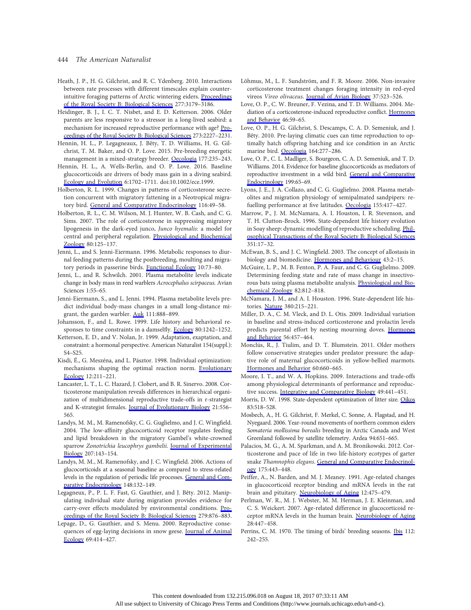#### 444 The American Naturalist

- Heath, J. P., H. G. Gilchrist, and R. C. Ydenberg. 2010. Interactions between rate processes with different timescales explain counterintuitive foraging patterns of Arctic wintering eiders. [Proceedings](http://www.journals.uchicago.edu/action/showLinks?pmid=20504814&crossref=10.1098%2Frspb.2010.0812) [of the Royal Society B: Biological Sciences](http://www.journals.uchicago.edu/action/showLinks?pmid=20504814&crossref=10.1098%2Frspb.2010.0812) 277:3179–3186.
- Heidinger, B. J., I. C. T. Nisbet, and E. D. Ketterson. 2006. Older parents are less responsive to a stressor in a long-lived seabird: a mechanism for increased reproductive performance with age? [Pro](http://www.journals.uchicago.edu/action/showLinks?pmid=16901843&crossref=10.1098%2Frspb.2006.3557)[ceedings of the Royal Society B: Biological Sciences](http://www.journals.uchicago.edu/action/showLinks?pmid=16901843&crossref=10.1098%2Frspb.2006.3557) 273:2227–2231.
- Hennin, H. L., P. Legagneaux, J. Bêty, T. D. Williams, H. G. Gilchrist, T. M. Baker, and O. P. Love. 2015. Pre-breeding energetic management in a mixed-strategy breeder. [Oecologia](http://www.journals.uchicago.edu/action/showLinks?pmid=25411112&crossref=10.1007%2Fs00442-014-3145-x) 177:235–243.
- Hennin, H. L., A. Wells-Berlin, and O. P. Love. 2016. Baseline glucocorticoids are drivers of body mass gain in a diving seabird. [Ecology and Evolution](http://www.journals.uchicago.edu/action/showLinks?pmid=26925215&crossref=10.1002%2Fece3.1999) 6:1702–1711. doi:10.1002/ece.1999.
- Holberton, R. L. 1999. Changes in patterns of corticosterone secretion concurrent with migratory fattening in a Neotropical migratory bird. [General and Comparative Endocrinology](http://www.journals.uchicago.edu/action/showLinks?pmid=10525361&crossref=10.1006%2Fgcen.1999.7336) 116:49–58.
- Holberton, R. L., C. M. Wilson, M. J. Hunter, W. B. Cash, and C. G. Sims. 2007. The role of corticosterone in suppressing migratory lipogenesis in the dark-eyed junco, Junco hyemalis: a model for central and peripheral regulation. [Physiological and Biochemical](http://www.journals.uchicago.edu/action/showLinks?system=10.1086%2F508816) [Zoology](http://www.journals.uchicago.edu/action/showLinks?system=10.1086%2F508816) 80:125–137.
- Jenni, L., and S. Jenni-Eiermann. 1996. Metabolic responses to diurnal feeding patterns during the postbreeding, moulting and migratory periods in passerine birds. [Functional Ecology](http://www.journals.uchicago.edu/action/showLinks?crossref=10.2307%2F2390264) 10:73–80.
- Jenni, L., and R. Schwilch. 2001. Plasma metabolite levels indicate change in body mass in reed warblers Acrocephalus scirpaceus. Avian Sciences 1:55–65.
- Jenni-Eiermann, S., and L. Jenni. 1994. Plasma metabolite levels predict individual body-mass changes in a small long-distance migrant, the garden warbler. [Auk](http://www.journals.uchicago.edu/action/showLinks?crossref=10.2307%2F4088821) 111:888–899.
- Johansson, F., and L. Rowe. 1999. Life history and behavioral responses to time constraints in a damselfly. [Ecology](http://www.journals.uchicago.edu/action/showLinks?crossref=10.1890%2F0012-9658%281999%29080%5B1242%3ALHABRT%5D2.0.CO%3B2) 80:1242–1252.
- Ketterson, E. D., and V. Nolan, Jr. 1999. Adaptation, exaptation, and constraint: a hormonal perspective. American Naturalist 154(suppl.): S4–S25.
- Kisdi, É., G. Meszéna, and L. Pásztor. 1998. Individual optimization: mechanisms shaping the optimal reaction norm. [Evolutionary](http://www.journals.uchicago.edu/action/showLinks?crossref=10.1023%2FA%3A1006535829880) [Ecology](http://www.journals.uchicago.edu/action/showLinks?crossref=10.1023%2FA%3A1006535829880) 12:211–221.
- Lancaster, L. T., L. C. Hazard, J. Clobert, and B. R. Sinervo. 2008. Corticosterone manipulation reveals differences in hierarchical organization of multidimensional reproductive trade-offs in r-strategist and K-strategist females. [Journal of Evolutionary Biology](http://www.journals.uchicago.edu/action/showLinks?pmid=18179517&crossref=10.1111%2Fj.1420-9101.2007.01478.x) 21:556– 565.
- Landys, M. M., M. Ramenofsky, C. G. Guglielmo, and J. C. Wingfield. 2004. The low-affinity glucocorticoid receptor regulates feeding and lipid breakdown in the migratory Gambel's white-crowned sparrow Zonotrichia leucophrys gambelii. [Journal of Experimental](http://www.journals.uchicago.edu/action/showLinks?pmid=14638841&crossref=10.1242%2Fjeb.00734) [Biology](http://www.journals.uchicago.edu/action/showLinks?pmid=14638841&crossref=10.1242%2Fjeb.00734) 207:143–154.
- Landys, M. M., M. Ramenofsky, and J. C. Wingfield. 2006. Actions of glucocorticoids at a seasonal baseline as compared to stress-related levels in the regulation of periodic life processes. [General and Com](http://www.journals.uchicago.edu/action/showLinks?pmid=16624311&crossref=10.1016%2Fj.ygcen.2006.02.013)[parative Endocrinology](http://www.journals.uchicago.edu/action/showLinks?pmid=16624311&crossref=10.1016%2Fj.ygcen.2006.02.013) 148:132–149.
- Legagneux, P., P. L. F. Fast, G. Gauthier, and J. Bêty. 2012. Manipulating individual state during migration provides evidence for carry-over effects modulated by environmental conditions. [Pro](http://www.journals.uchicago.edu/action/showLinks?pmid=21865256&crossref=10.1098%2Frspb.2011.1351)[ceedings of the Royal Society B: Biological Sciences](http://www.journals.uchicago.edu/action/showLinks?pmid=21865256&crossref=10.1098%2Frspb.2011.1351) 279:876–883.
- Lepage, D., G. Gauthier, and S. Menu. 2000. Reproductive consequences of egg-laying decisions in snow geese. [Journal of Animal](http://www.journals.uchicago.edu/action/showLinks?crossref=10.1046%2Fj.1365-2656.2000.00404.x) [Ecology](http://www.journals.uchicago.edu/action/showLinks?crossref=10.1046%2Fj.1365-2656.2000.00404.x) 69:414–427.
- Lõhmus, M., L. F. Sundström, and F. R. Moore. 2006. Non-invasive corticosterone treatment changes foraging intensity in red-eyed vireos Vireo olivaceus. [Journal of Avian Biology](http://www.journals.uchicago.edu/action/showLinks?crossref=10.1111%2Fj.0908-8857.2006.03733.x) 37:523–526.
- Love, O. P., C. W. Breuner, F. Vezina, and T. D. Williams. 2004. Mediation of a corticosterone-induced reproductive conflict. [Hormones](http://www.journals.uchicago.edu/action/showLinks?pmid=15215043&crossref=10.1016%2Fj.yhbeh.2004.02.001) [and Behavior](http://www.journals.uchicago.edu/action/showLinks?pmid=15215043&crossref=10.1016%2Fj.yhbeh.2004.02.001) 46:59–65.
- Love, O. P., H. G. Gilchrist, S. Descamps, C. A. D. Semeniuk, and J. Bêty. 2010. Pre-laying climatic cues can time reproduction to optimally hatch offspring hatching and ice condition in an Arctic marine bird. [Oecologia](http://www.journals.uchicago.edu/action/showLinks?pmid=20632036&crossref=10.1007%2Fs00442-010-1678-1) 164:277–286.
- Love, O. P., C. L. Madliger, S. Bourgeon, C. A. D. Semeniuk, and T. D. Williams. 2014. Evidence for baseline glucocorticoids as mediators of reproductive investment in a wild bird. [General and Comparative](http://www.journals.uchicago.edu/action/showLinks?pmid=24462764&crossref=10.1016%2Fj.ygcen.2014.01.001) [Endocrinology](http://www.journals.uchicago.edu/action/showLinks?pmid=24462764&crossref=10.1016%2Fj.ygcen.2014.01.001) 199:65–69.
- Lyons, J. E., J. A. Collazo, and C. G. Guglielmo. 2008. Plasma metabolites and migration physiology of semipalmated sandpipers: refuelling performance at five latitudes. [Oecologia](http://www.journals.uchicago.edu/action/showLinks?pmid=18071757&crossref=10.1007%2Fs00442-007-0921-x) 155:417–427.
- Marrow, P., J. M. McNamara, A. I. Houston, I. R. Stevenson, and T. H. Clutton-Brock. 1996. State-dependent life history evolution in Soay sheep: dynamic modelling of reproductive scheduling. [Phil](http://www.journals.uchicago.edu/action/showLinks?pmid=8745420&crossref=10.1098%2Frstb.1996.0002)[osophical Transactions of the Royal Society B: Biological Sciences](http://www.journals.uchicago.edu/action/showLinks?pmid=8745420&crossref=10.1098%2Frstb.1996.0002) 351:17–32.
- McEwan, B. S., and J. C. Wingfield. 2003. The concept of allostasis in biology and biomedicine. [Hormones and Behaviour](http://www.journals.uchicago.edu/action/showLinks?pmid=12614627&crossref=10.1016%2FS0018-506X%2802%2900024-7) 43:2–15.
- McGuire, L. P., M. B. Fenton, P. A. Faur, and C. G. Guglielmo. 2009. Determining feeding state and rate of mass change in insectivorous bats using plasma metabolite analysis. [Physiological and Bio](http://www.journals.uchicago.edu/action/showLinks?system=10.1086%2F605951)[chemical Zoology](http://www.journals.uchicago.edu/action/showLinks?system=10.1086%2F605951) 82:812–818.
- McNamara, J. M., and A. I. Houston. 1996. State-dependent life histories. [Nature](http://www.journals.uchicago.edu/action/showLinks?pmid=8637568&crossref=10.1038%2F380215a0) 380:215–221.
- Miller, D. A., C. M. Vleck, and D. L. Otis. 2009. Individual variation in baseline and stress-induced corticosterone and prolactin levels predicts parental effort by nesting mourning doves. [Hormones](http://www.journals.uchicago.edu/action/showLinks?pmid=19682449&crossref=10.1016%2Fj.yhbeh.2009.08.001) [and Behavior](http://www.journals.uchicago.edu/action/showLinks?pmid=19682449&crossref=10.1016%2Fj.yhbeh.2009.08.001) 56:457–464.
- Monclús, R., J. Tiulim, and D. T. Blumstein. 2011. Older mothers follow conservative strategies under predator pressure: the adaptive role of maternal glucocorticoids in yellow-bellied marmots. [Hormones and Behavior](http://www.journals.uchicago.edu/action/showLinks?pmid=21930131&crossref=10.1016%2Fj.yhbeh.2011.08.019) 60:660–665.
- Moore, I. T., and W. A. Hopkins. 2009. Interactions and trade-offs among physiological determinants of performance and reproductive success. [Integrative and Comparative Biology](http://www.journals.uchicago.edu/action/showLinks?pmid=21665832&crossref=10.1093%2Ficb%2Ficp081) 49:441–451.
- Morris, D. W. 1998. State-dependent optimization of litter size. [Oikos](http://www.journals.uchicago.edu/action/showLinks?crossref=10.2307%2F3546679) 83:518–528.
- Mosbech, A., H. G. Gilchrist, F. Merkel, C. Sonne, A. Flagstad, and H. Nyegaard. 2006. Year-round movements of northern common eiders Somateria mollissima borealis breeding in Arctic Canada and West Greenland followed by satellite telemetry. Ardea 94:651–665.
- Palacios, M. G., A. M. Sparkman, and A. M. Bronikowski. 2012. Corticosterone and pace of life in two life-history ecotypes of garter snake Thamnophis elegans. [General and Comparative Endocrinol](http://www.journals.uchicago.edu/action/showLinks?pmid=22178432&crossref=10.1016%2Fj.ygcen.2011.11.042)[ogy](http://www.journals.uchicago.edu/action/showLinks?pmid=22178432&crossref=10.1016%2Fj.ygcen.2011.11.042) 175:443–448.
- Peiffer, A., N. Barden, and M. J. Meaney. 1991. Age-related changes in glucocorticoid receptor binding and mRNA levels in the rat brain and pituitary. [Neurobiology of Aging](http://www.journals.uchicago.edu/action/showLinks?pmid=1770983&crossref=10.1016%2F0197-4580%2891%2990076-V) 12:475–479.
- Perlman, W. R., M. J. Webster, M. M. Herman, J. E. Kleinman, and C. S. Weickert. 2007. Age-related difference in glucocorticoid receptor mRNA levels in the human brain. [Neurobiology of Aging](http://www.journals.uchicago.edu/action/showLinks?pmid=16540204&crossref=10.1016%2Fj.neurobiolaging.2006.01.010) 28:447–458.
- Perrins, C. M. 1970. The timing of birds' breeding seasons. [Ibis](http://www.journals.uchicago.edu/action/showLinks?crossref=10.1111%2Fj.1474-919X.1970.tb00096.x) 112: 242–255.